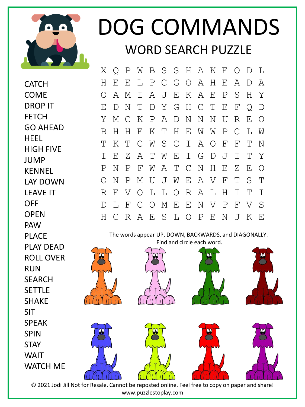

## DOG COMMANDS WORD SEARCH PUZZLE

**CATCH** COME DROP IT FETCH GO AHEAD HEEL HIGH FIVE JUMP KENNEL LAY DOWN LEAVE IT **OFF OPEN** PAW PLACE PLAY DEAD ROLL OVER RUN SEARCH SETTLE SHAKE SIT SPEAK SPIN **STAY** WAIT WATCH ME

X Q P W B S S H A K E O D L H E E L P C G O A H E A D A O A M I A J E K A E P S H Y E D N T D Y G H C T E F Q D Y M C K P A D N N N U R E O B H H E K T H E W W P C L W T K T C W S C I A O F F T N I E Z A T W E I G D J I T Y P N P F W A T C N H E Z E O O N P M U J W E A V F T S T R E V O L L O R A L H I T I D L F C O M E E N V P F V S H C R A E S L O P E N J K E

The words appear UP, DOWN, BACKWARDS, and DIAGONALLY. Find and circle each word.

© 2021 Jodi Jill Not for Resale. Cannot be reposted online. Feel free to copy on paper and share! www.puzzlestoplay.com